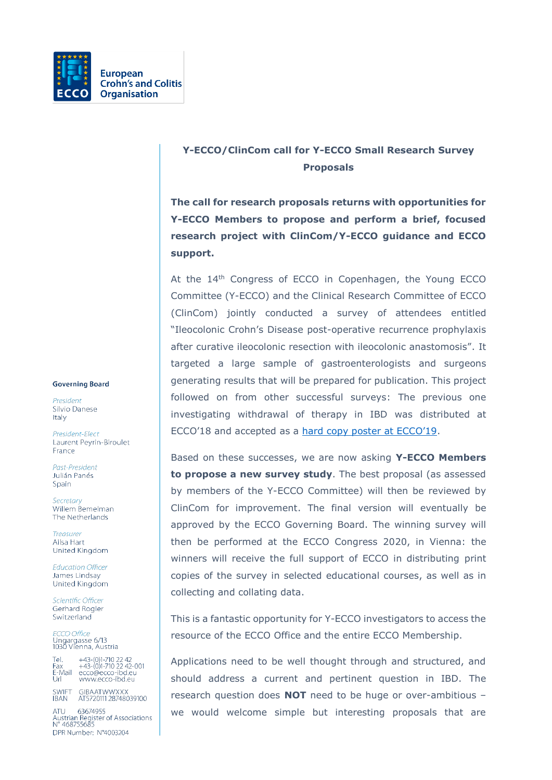

## **Y-ECCO/ClinCom call for Y-ECCO Small Research Survey Proposals**

**The call for research proposals returns with opportunities for Y-ECCO Members to propose and perform a brief, focused research project with ClinCom/Y-ECCO guidance and ECCO support.** 

At the 14<sup>th</sup> Congress of ECCO in Copenhagen, the Young ECCO Committee (Y-ECCO) and the Clinical Research Committee of ECCO (ClinCom) jointly conducted a survey of attendees entitled "Ileocolonic Crohn's Disease post-operative recurrence prophylaxis after curative ileocolonic resection with ileocolonic anastomosis". It targeted a large sample of gastroenterologists and surgeons generating results that will be prepared for publication. This project followed on from other successful surveys: The previous one investigating withdrawal of therapy in IBD was distributed at ECCO'18 and accepted as a [hard copy poster at ECCO'19](https://www.ecco-ibd.eu/publications/congress-abstract-s/abstracts-2019/item/p430-european-clinician-perspective-on-withdrawing-immunosuppression.html).

Based on these successes, we are now asking **Y-ECCO Members to propose a new survey study**. The best proposal (as assessed by members of the Y-ECCO Committee) will then be reviewed by ClinCom for improvement. The final version will eventually be approved by the ECCO Governing Board. The winning survey will then be performed at the ECCO Congress 2020, in Vienna: the winners will receive the full support of ECCO in distributing print copies of the survey in selected educational courses, as well as in collecting and collating data.

This is a fantastic opportunity for Y-ECCO investigators to access the resource of the ECCO Office and the entire ECCO Membership.

Applications need to be well thought through and structured, and should address a current and pertinent question in IBD. The research question does **NOT** need to be huge or over-ambitious – we would welcome simple but interesting proposals that are

## **Governing Board**

President Silvio Danese Italy

President-Elect Laurent Peyrin-Biroulet France

Past-President Julián Panés Spain

Secretary Willem Bemelman The Netherlands

Treasurer Ailsa Hart United Kingdom

**Education Officer** James Lindsav United Kingdom

Scientific Officer Gerhard Rogler Switzerland

**ECCO Office** Leco Office<br>Ungargasse 6/13<br>1030 Vienna, Austria

Tel. +43-(0)1-710 22 42<br>Fax +43-(0)1-710 22 42-001<br>E-Mail ecco@ecco-ibd.eu ŪŕË www.ecco-ibd.eu

SWIFT GIBAATWWXXX<br>IBAN AT5720111 28748039100

ATU 63674955<br>Austrian Register of Associations<br>N° 468755685 DPR Number: N°4003204